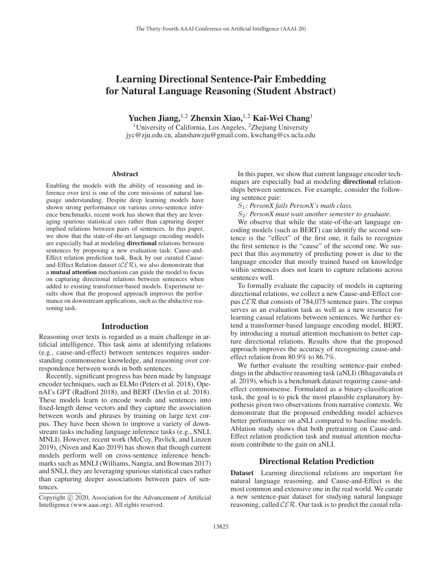# Learning Directional Sentence-Pair Embedding for Natural Language Reasoning (Student Abstract)

Yuchen Jiang,<sup>1,2</sup> Zhenxin Xiao,<sup>1,2</sup> Kai-Wei Chang<sup>1</sup>

<sup>1</sup>University of California, Los Angeles,  ${}^{2}$ Zhejiang University jyc@zju.edu.cn, alanshawzju@gmail.com, kwchang@cs.ucla.edu

#### Abstract

Enabling the models with the ability of reasoning and inference over text is one of the core missions of natural language understanding. Despite deep learning models have shown strong performance on various cross-sentence inference benchmarks, recent work has shown that they are leveraging spurious statistical cues rather than capturing deeper implied relations between pairs of sentences. In this paper, we show that the state-of-the-art language encoding models are especially bad at modeling directional relations between sentences by proposing a new evaluation task: Cause-and-Effect relation prediction task. Back by our curated Causeand-Effect Relation dataset ( $\mathcal{C}\mathcal{E}\mathcal{R}$ ), we also demonstrate that a mutual attention mechanism can guide the model to focus on capturing directional relations between sentences when added to existing transformer-based models. Experiment results show that the proposed approach improves the performance on downstream applications, such as the abductive reasoning task.

#### Introduction

Reasoning over texts is regarded as a main challenge in artificial intelligence. This task aims at identifying relations (e.g., cause-and-effect) between sentences requires understanding commonsense knowledge, and reasoning over correspondence between words in both sentences.

Recently, significant progress has been made by language encoder techniques, such as ELMo (Peters et al. 2018), OpenAI's GPT (Radford 2018), and BERT (Devlin et al. 2018). These models learn to encode words and sentences into fixed-length dense vectors and they capture the association between words and phrases by training on large text corpus. They have been shown to improve a variety of downstream tasks including language inference tasks (e.g., SNLI, MNLI). However, recent work (McCoy, Pavlick, and Linzen 2019), (Niven and Kao 2019) has shown that though current models perform well on cross-sentence inference benchmarks such as MNLI (Williams, Nangia, and Bowman 2017) and SNLI, they are leveraging spurious statistical cues rather than capturing deeper associations between pairs of sentences.

In this paper, we show that current language encoder techniques are especially bad at modeling directional relationships between sentences. For example, consider the following sentence pair:

S1*: PersonX fails PersonX's math class.*

S2*: PersonX must wait another semester to graduate.*

We observe that while the state-of-the-art language encoding models (such as BERT) can identify the second sentence is the "effect" of the first one, it fails to recognize the first sentence is the "cause" of the second one. We suspect that this asymmetry of predicting power is due to the language encoder that mostly trained based on knowledge within sentences does not learn to capture relations across sentences well.

To formally evaluate the capacity of models in capturing directional relations, we collect a new Cause-and-Effect corpus  $CER$  that consists of 784,075 sentence pairs. The corpus serves as an evaluation task as well as a new resource for learning casual relations between sentences. We further extend a transformer-based language encoding model, BERT, by introducing a mutual attention mechanism to better capture directional relations. Results show that the proposed approach improves the accuracy of recognizing cause-andeffect relation from 80.9% to 86.7%.

We further evaluate the resulting sentence-pair embeddings in the abductive reasoning task (aNLI) (Bhagavatula et al. 2019), which is a benchmark dataset requiring cause-andeffect commonsense. Formulated as a binary-classification task, the goal is to pick the most plausible explanatory hypothesis given two observations from narrative contexts. We demonstrate that the proposed embedding model achieves better performance on aNLI compared to baseline models. Ablation study shows that both pretraining on Cause-and-Effect relation prediction task and mutual attention mechanism contribute to the gain on aNLI.

## Directional Relation Prediction

Dataset Learning directional relations are important for natural language reasoning, and Cause-and-Effect is the most common and extensive one in the real world. We curate a new sentence-pair dataset for studying natural language reasoning, called  $CER$ . Our task is to predict the casual rela-

Copyright  $\odot$  2020, Association for the Advancement of Artificial Intelligence (www.aaai.org). All rights reserved.